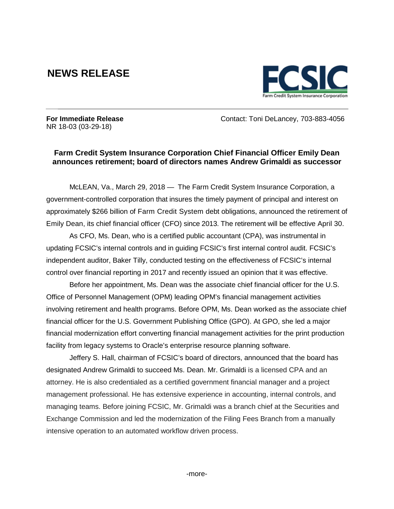## **NEWS RELEASE**



NR 18-03 (03-29-18)

**For Immediate Release** Contact: Toni DeLancey, 703-883-4056

## **Farm Credit System Insurance Corporation Chief Financial Officer Emily Dean announces retirement; board of directors names Andrew Grimaldi as successor**

McLEAN, Va., March 29, 2018 — The Farm Credit System Insurance Corporation, a government-controlled corporation that insures the timely payment of principal and interest on approximately \$266 billion of Farm Credit System debt obligations, announced the retirement of Emily Dean, its chief financial officer (CFO) since 2013. The retirement will be effective April 30.

As CFO, Ms. Dean, who is a certified public accountant (CPA), was instrumental in updating FCSIC's internal controls and in guiding FCSIC's first internal control audit. FCSIC's independent auditor, Baker Tilly, conducted testing on the effectiveness of FCSIC's internal control over financial reporting in 2017 and recently issued an opinion that it was effective.

Before her appointment, Ms. Dean was the associate chief financial officer for the U.S. Office of Personnel Management (OPM) leading OPM's financial management activities involving retirement and health programs. Before OPM, Ms. Dean worked as the associate chief financial officer for the U.S. Government Publishing Office (GPO). At GPO, she led a major financial modernization effort converting financial management activities for the print production facility from legacy systems to Oracle's enterprise resource planning software.

Jeffery S. Hall, chairman of FCSIC's board of directors, announced that the board has designated Andrew Grimaldi to succeed Ms. Dean. Mr. Grimaldi is a licensed CPA and an attorney. He is also credentialed as a certified government financial manager and a project management professional. He has extensive experience in accounting, internal controls, and managing teams. Before joining FCSIC, Mr. Grimaldi was a branch chief at the Securities and Exchange Commission and led the modernization of the Filing Fees Branch from a manually intensive operation to an automated workflow driven process.